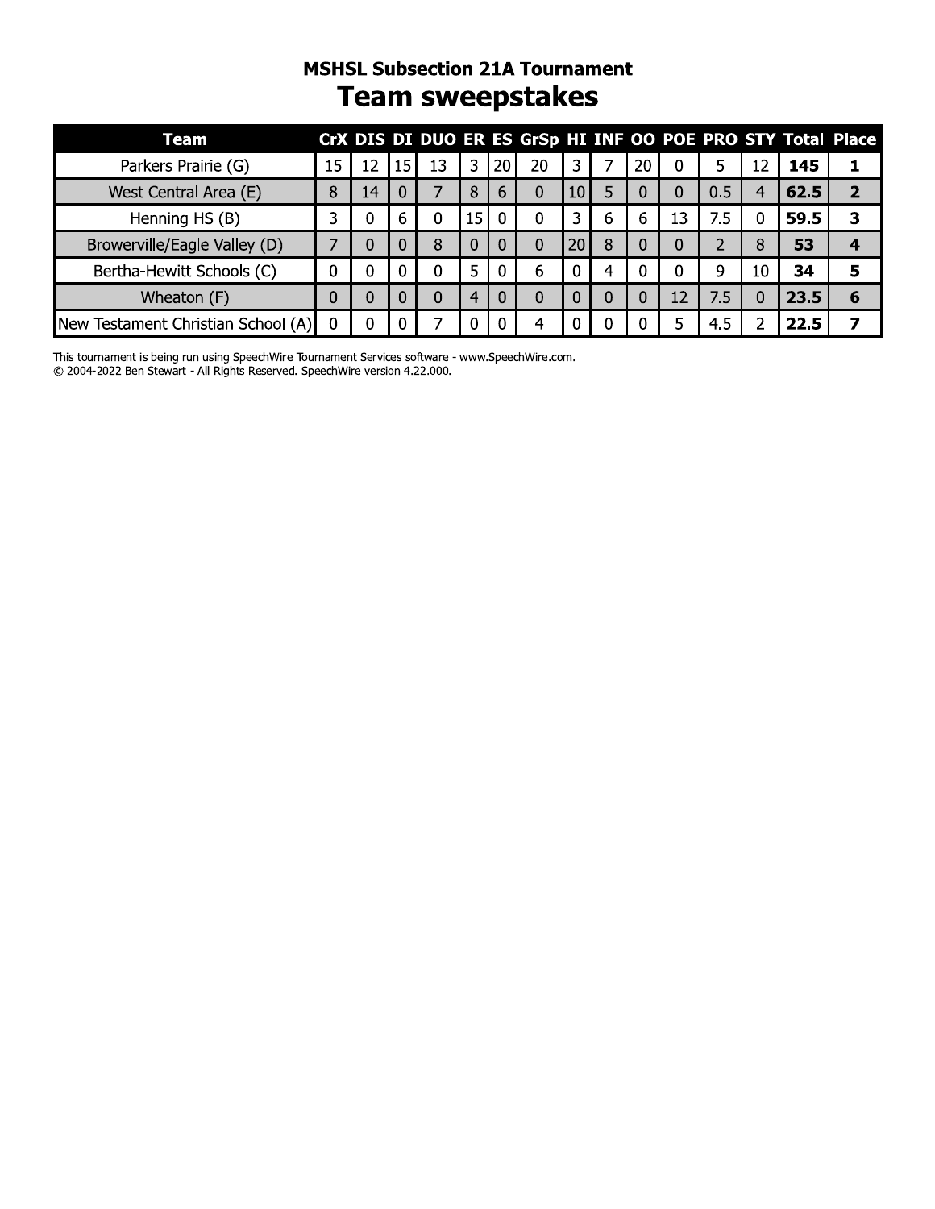# MSHSL SUDSECTION ZIA TOURNAMENT **Team sweepstakes**

|                                    |    |    |                 |          |    |                 | <b>MSHSL Subsection 21A Tournament</b><br><b>Team sweepstakes</b> |                 |   |          |          |     |          |      |                                                             |
|------------------------------------|----|----|-----------------|----------|----|-----------------|-------------------------------------------------------------------|-----------------|---|----------|----------|-----|----------|------|-------------------------------------------------------------|
| <b>Team</b>                        |    |    |                 |          |    |                 |                                                                   |                 |   |          |          |     |          |      | CrX DIS DI DUO ER ES GrSp HI INF OO POE PRO STY Total Place |
| Parkers Prairie (G)                | 15 | 12 | 15 <sup>1</sup> | 13       | 3  | 20 <sub>l</sub> | 20                                                                | 3.              |   | 20       | 0        | 5.  | 12       | 145  | 1                                                           |
| West Central Area (E)              | 8  | 14 | 0               |          | 8  | 6               | $\Omega$                                                          | 10 <sup>1</sup> | 5 | 0        | 0        | 0.5 | 4        | 62.5 | $\overline{2}$                                              |
| Henning HS (B)                     | 3  | 0  | 6               | $\Omega$ | 15 |                 | 0                                                                 | 3               | 6 | 6        | 13       | 7.5 | 0        | 59.5 | 3                                                           |
| Browerville/Eagle Valley (D)       | 7  | 0  | 0               | 8        | 0  |                 | $\Omega$                                                          | 20 <sub>l</sub> | 8 | 0        | 0        |     | 8        | 53   | 4                                                           |
| Bertha-Hewitt Schools (C)          | 0  | 0  | 0               | 0        | 5  |                 | 6                                                                 |                 | 4 | $\Omega$ | $\Omega$ | 9   | 10       | 34   | 5                                                           |
| Wheaton (F)                        | 0  | 0  | 0               | $\Omega$ | 4  |                 | 0                                                                 | 0               | 0 | $\Omega$ | 12       | 7.5 | $\Omega$ | 23.5 | 6                                                           |
| New Testament Christian School (A) | 0  | O  |                 |          |    |                 |                                                                   |                 | 0 |          | 5        | 4.5 |          | 22.5 |                                                             |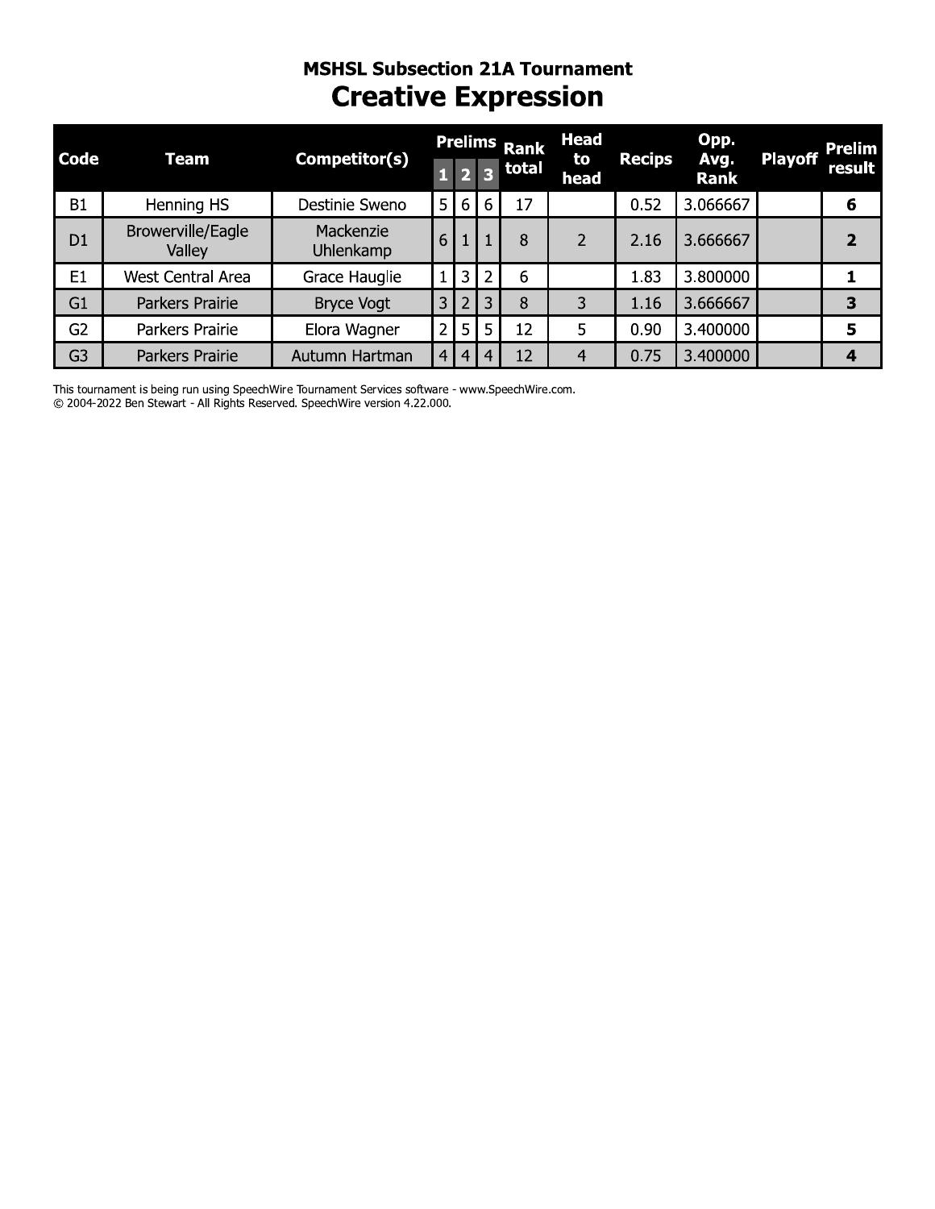### **MSHSL Subsection 21A Tournament Creative Expression**

| Code           | <b>Team</b>                 | Competitor(s)          | 1              | $\overline{\mathbf{2}}$ | R              | <b>Prelims Rank</b><br>total | Head<br>to<br>head | <b>Recips</b> | Opp.<br>Avg.<br><b>Rank</b> | <b>Playoff</b> | <b>Prelim</b><br>result |
|----------------|-----------------------------|------------------------|----------------|-------------------------|----------------|------------------------------|--------------------|---------------|-----------------------------|----------------|-------------------------|
| B1             | Henning HS                  | Destinie Sweno         | 5              | 6                       | 6              | 17                           |                    | 0.52          | 3.066667                    |                | 6                       |
| D <sub>1</sub> | Browerville/Eagle<br>Valley | Mackenzie<br>Uhlenkamp | 6              |                         |                | 8                            | $\mathcal{P}$      | 2.16          | 3.666667                    |                |                         |
| E <sub>1</sub> | <b>West Central Area</b>    | Grace Hauglie          |                | 3                       | $\overline{2}$ | 6                            |                    | 1.83          | 3.800000                    |                |                         |
| G1             | Parkers Prairie             | <b>Bryce Vogt</b>      | 3              | $\overline{2}$          | 3              | 8                            | 3                  | 1.16          | 3.666667                    |                | 3                       |
| G <sub>2</sub> | Parkers Prairie             | Elora Wagner           | $\overline{2}$ | 5                       | 5              | 12                           | 5                  | 0.90          | 3.400000                    |                | 5                       |
| G <sub>3</sub> | Parkers Prairie             | Autumn Hartman         | 4              | $\overline{4}$          |                | 12                           | 4                  | 0.75          | 3.400000                    |                | 4                       |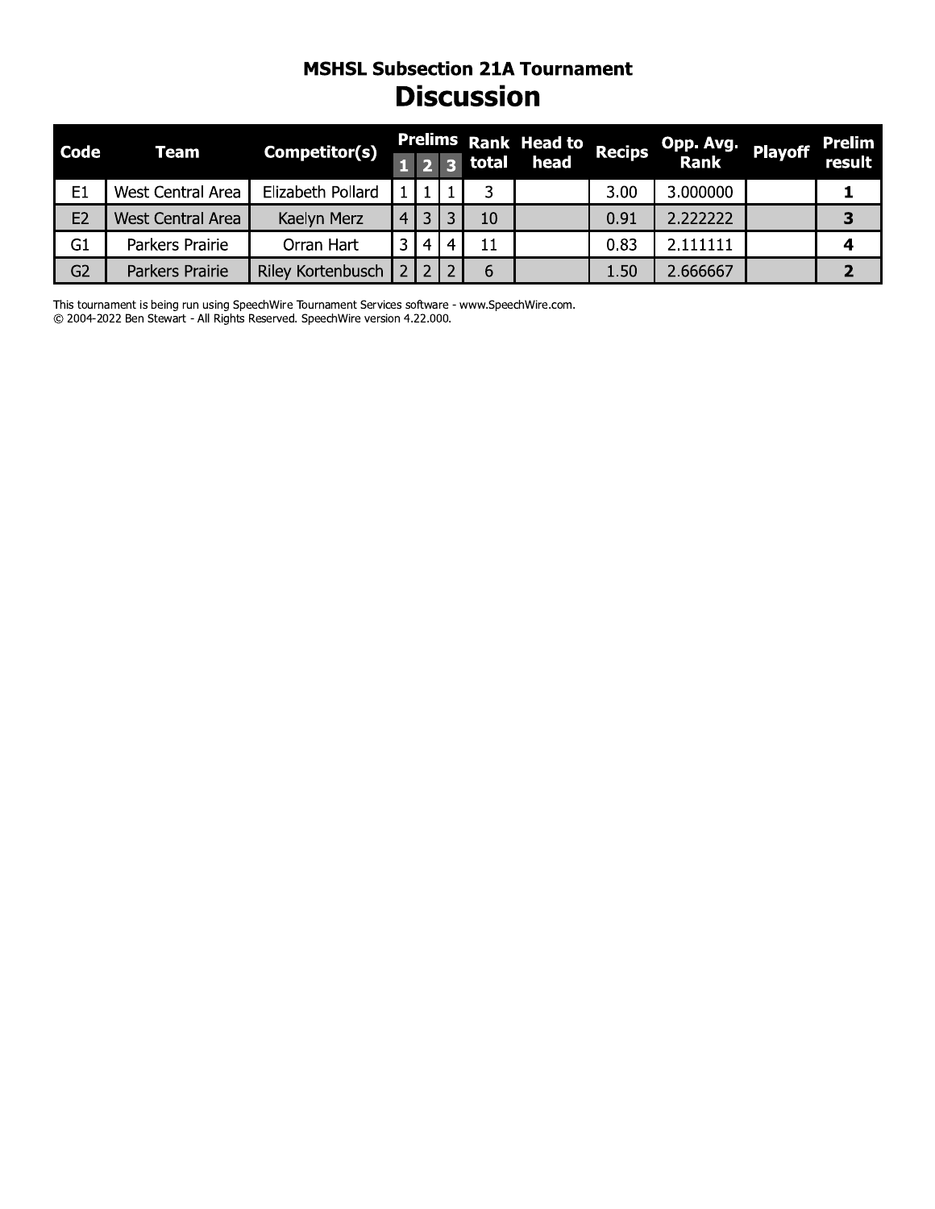#### **MSHSL Subsection 21A Tournament Discussion**

| <b>Code</b>    | Team                     | Competitor(s)     |                |                |   |    | Prelims Rank Head to Recips |      | Opp. Avg. playoff Prelim<br>Rank Rank result |   |
|----------------|--------------------------|-------------------|----------------|----------------|---|----|-----------------------------|------|----------------------------------------------|---|
|                |                          |                   |                |                |   |    | 3 total head                |      |                                              |   |
| E <sub>1</sub> | West Central Area        | Elizabeth Pollard |                |                |   |    |                             | 3.00 | 3.000000                                     |   |
| E <sub>2</sub> | <b>West Central Area</b> | Kaelyn Merz       | 4 <sup>1</sup> |                | 2 | 10 |                             | 0.91 | 2.222222                                     | 3 |
| G1             | Parkers Prairie          | Orran Hart        | 2.             | $\overline{4}$ | 4 | 11 |                             | 0.83 | 2.111111                                     | 4 |
| G <sub>2</sub> | Parkers Prairie          | Riley Kortenbusch |                |                |   | 6  |                             | 1.50 | 2.666667                                     |   |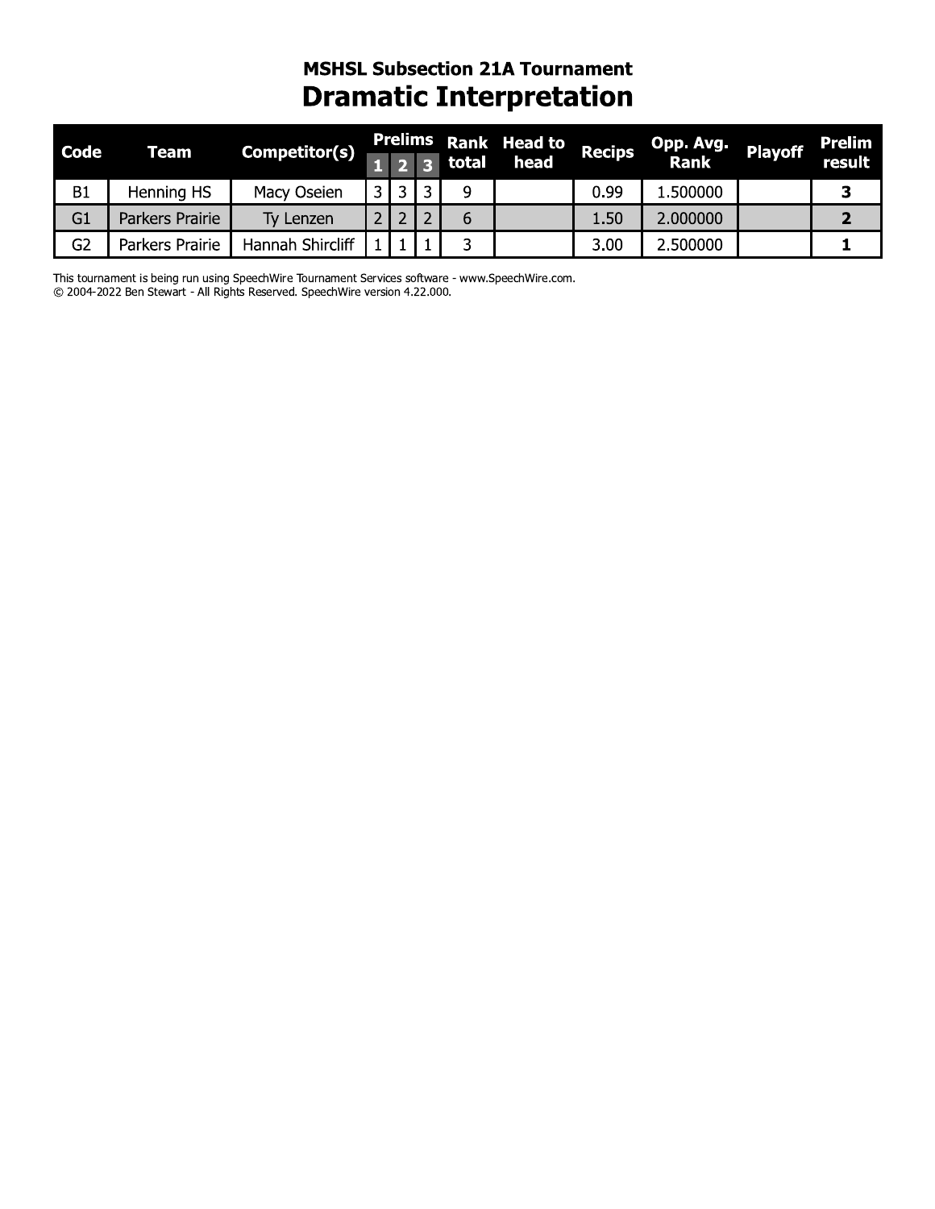### **MSHSL Subsection 21A Tournament Dramatic Interpretation**

| <b>Code</b>    | Team            | Competitor(s)    |  |       | Prelims Rank Head to Recips OF |      | Opp. Avg. | <b>Playoff</b> | Prelim |
|----------------|-----------------|------------------|--|-------|--------------------------------|------|-----------|----------------|--------|
|                |                 |                  |  | total | head                           |      | Rank      |                | result |
| B1             | Henning HS      | Macy Oseien      |  |       |                                | 0.99 | 1.500000  |                |        |
| G1             | Parkers Prairie | Ty Lenzen        |  |       |                                | 1.50 | 2.000000  |                |        |
| G <sub>2</sub> | Parkers Prairie | Hannah Shircliff |  |       |                                | 3.00 | 2.500000  |                |        |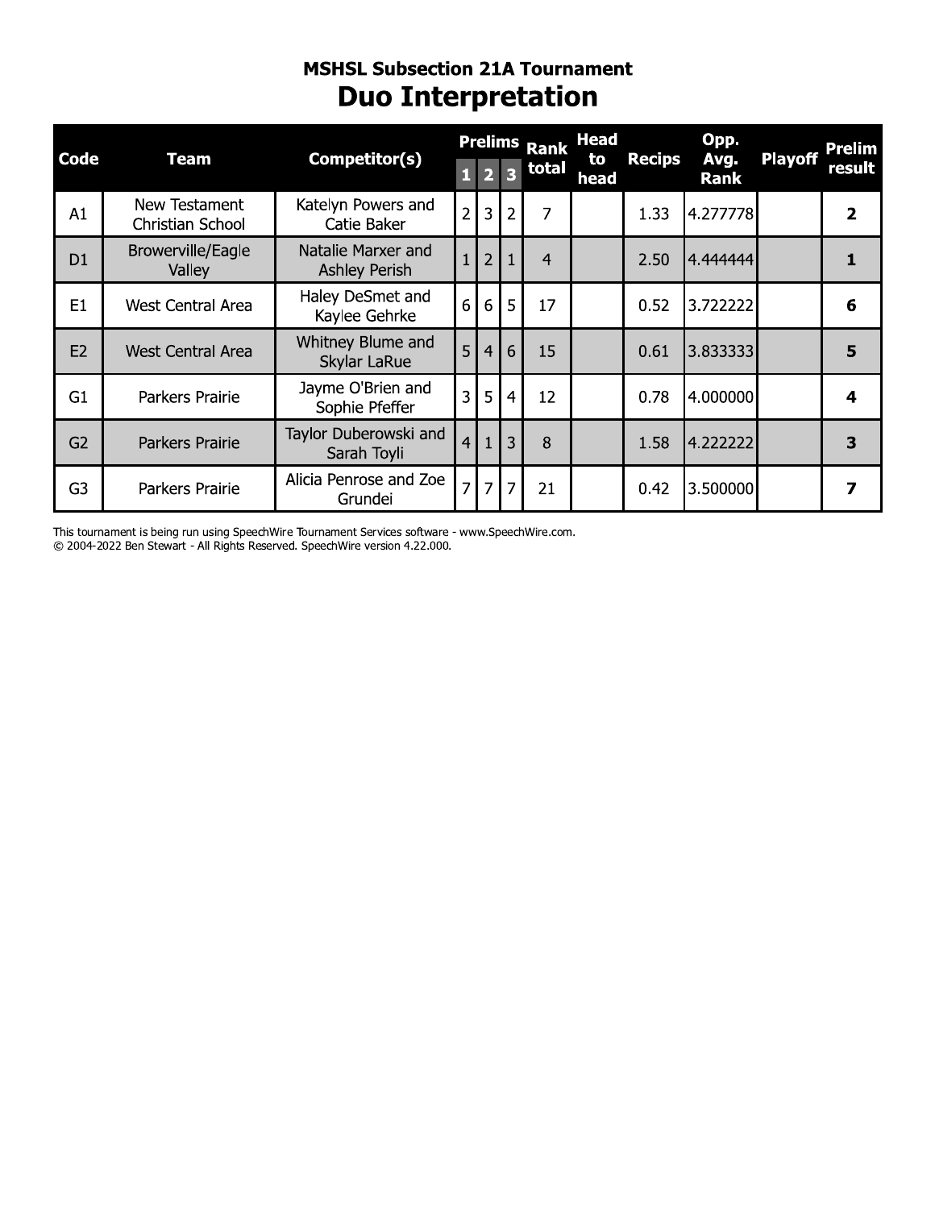### **MSHSL Subsection 21A Tournament Duo Interpretation**

|                |                                          |                                            |                |                |                         | <b>Prelims Rank</b> | <b>Head</b> |               | Opp.                |                | Prelim       |
|----------------|------------------------------------------|--------------------------------------------|----------------|----------------|-------------------------|---------------------|-------------|---------------|---------------------|----------------|--------------|
| Code           | <b>Team</b>                              | Competitor(s)                              | $\mathbf{1}$   | $\overline{2}$ | $\overline{\mathbf{3}}$ | total               | to<br>head  | <b>Recips</b> | Avg.<br><b>Rank</b> | <b>Playoff</b> | result       |
| A1             | New Testament<br><b>Christian School</b> | Katelyn Powers and<br>Catie Baker          | $\overline{2}$ | $\overline{3}$ | $\overline{2}$          | 7                   |             | 1.33          | 4.277778            |                | 2            |
| D <sub>1</sub> | Browerville/Eagle<br>Valley              | Natalie Marxer and<br><b>Ashley Perish</b> | $\overline{1}$ | $\overline{2}$ |                         | $\overline{4}$      |             | 2.50          | 4.444444            |                | $\mathbf{1}$ |
| E1             | West Central Area                        | Haley DeSmet and<br>Kaylee Gehrke          | 6              | 6              | 5                       | 17                  |             | 0.52          | 3.722222            |                | 6            |
| E <sub>2</sub> | <b>West Central Area</b>                 | Whitney Blume and<br>Skylar LaRue          | 5              | $\overline{4}$ | 6                       | 15                  |             | 0.61          | 3.833333            |                | 5            |
| G <sub>1</sub> | Parkers Prairie                          | Jayme O'Brien and<br>Sophie Pfeffer        | 3              | 5              | 4                       | 12                  |             | 0.78          | 4.000000            |                | 4            |
| G <sub>2</sub> | Parkers Prairie                          | Taylor Duberowski and<br>Sarah Toyli       | $\overline{4}$ | $\overline{1}$ | 3                       | 8                   |             | 1.58          | 4.222222            |                | 3            |
| G <sub>3</sub> | Parkers Prairie                          | Alicia Penrose and Zoe<br>Grundei          | $\overline{7}$ | $\overline{7}$ | $\overline{7}$          | 21                  |             | 0.42          | 3.500000            |                | 7            |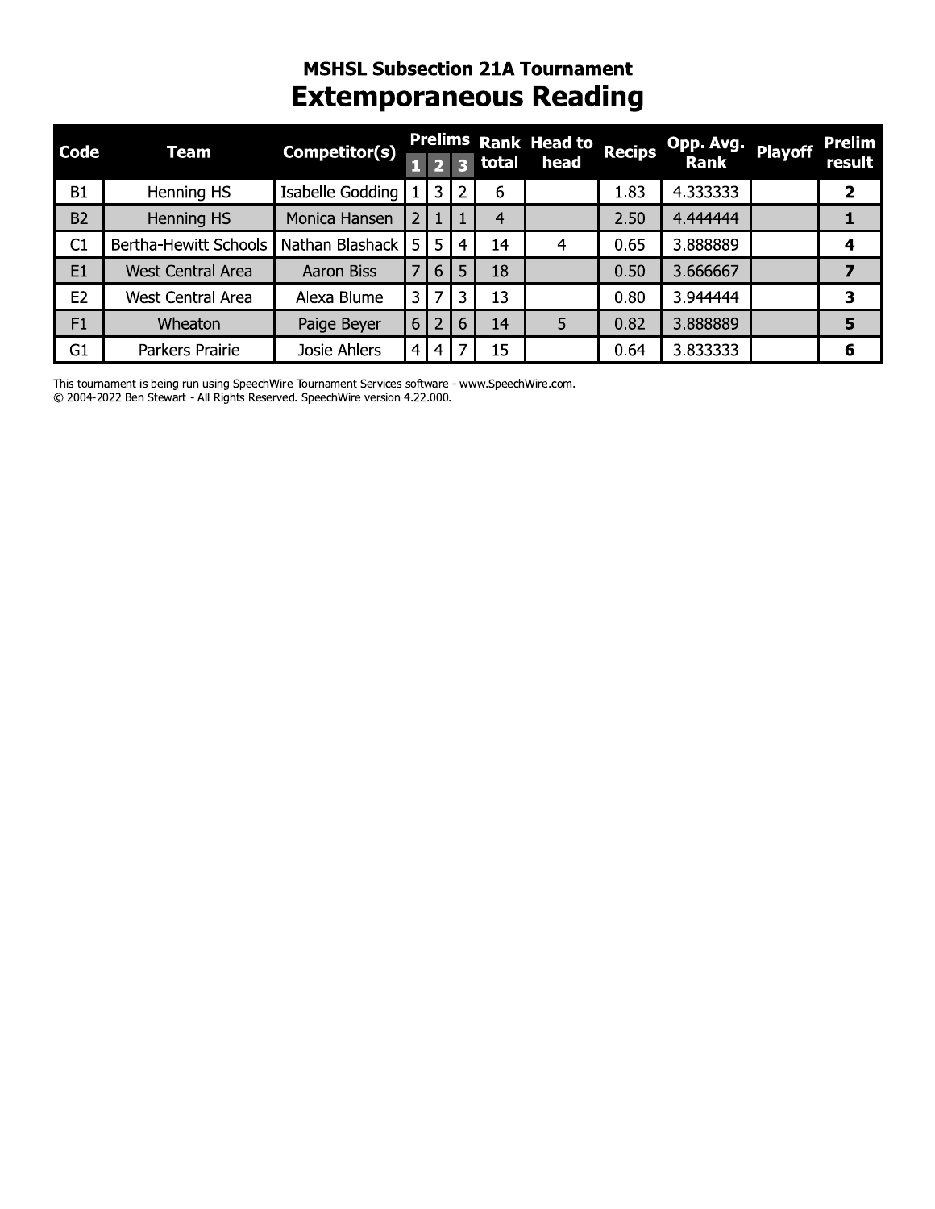# **MSHSL Subsection 21A Tournament Extemporaneous Reading**

| Code           | Team                     | Competitor(s)     |     |                |   |         | Prelims Rank Head to Recips |      | Opp. Avg.   | <b>Playoff</b> | <b>Prelim</b> |
|----------------|--------------------------|-------------------|-----|----------------|---|---------|-----------------------------|------|-------------|----------------|---------------|
|                |                          |                   |     |                |   | 3 total | head                        |      | <b>Rank</b> |                | result        |
| B <sub>1</sub> | Henning HS               | Isabelle Godding  |     | 3              |   | 6       |                             | 1.83 | 4.333333    |                | 2             |
| <b>B2</b>      | Henning HS               | Monica Hansen     |     |                |   | 4       |                             | 2.50 | 4.444444    |                |               |
| C1             | Bertha-Hewitt Schools    | Nathan Blashack   | 5 I | 5 <sup>5</sup> | 4 | 14      | 4                           | 0.65 | 3.888889    |                | 4             |
| E1             | <b>West Central Area</b> | <b>Aaron Biss</b> |     | 6              | 5 | 18      |                             | 0.50 | 3.666667    |                |               |
| E <sub>2</sub> | <b>West Central Area</b> | Alexa Blume       |     |                | 3 | 13      |                             | 0.80 | 3.944444    |                | 3             |
| F1             | Wheaton                  | Paige Beyer       | 6   |                | 6 | 14      | 5                           | 0.82 | 3.888889    |                | 5             |
| G <sub>1</sub> | Parkers Prairie          | Josie Ahlers      | 4   | 4              |   | 15      |                             | 0.64 | 3.833333    |                | 6             |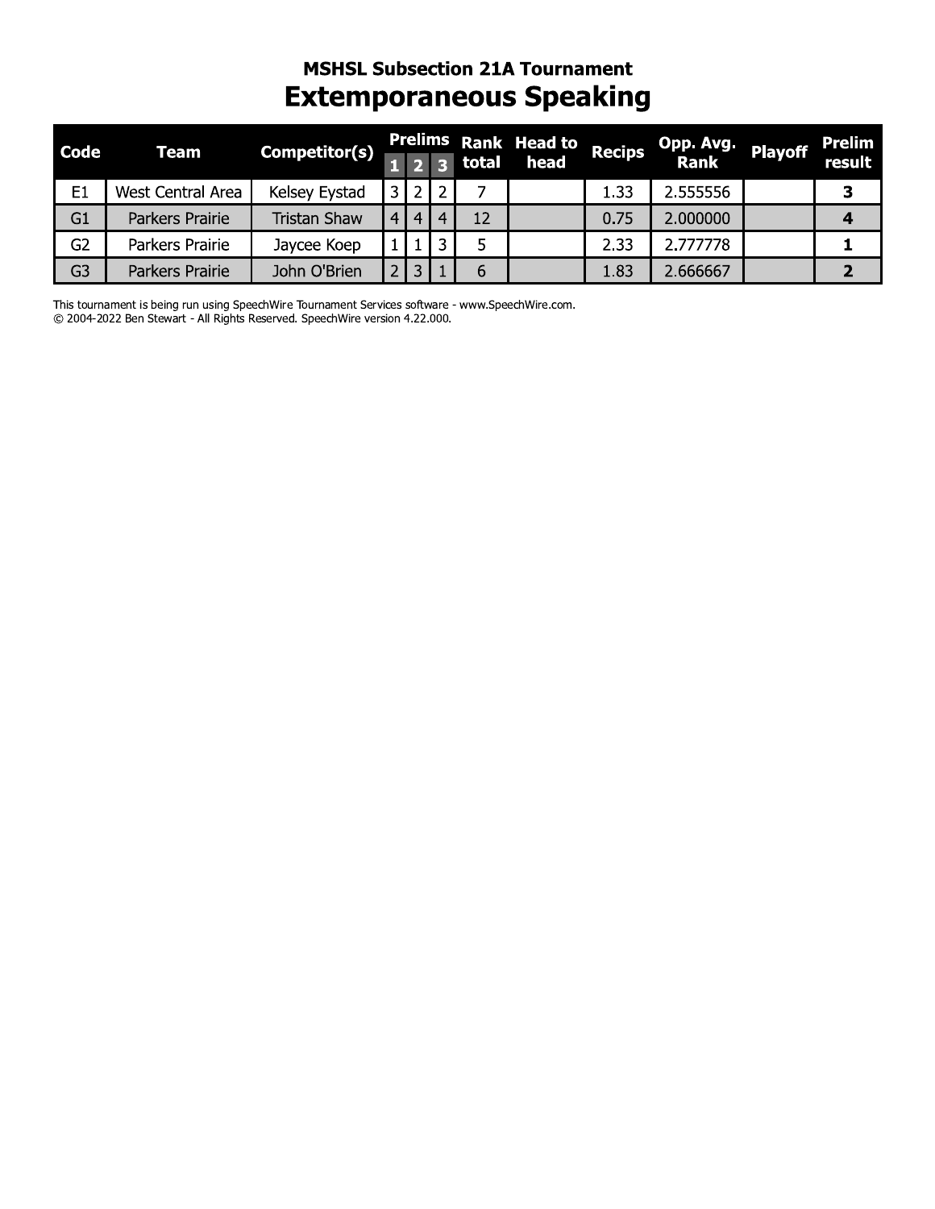### **MSHSL Subsection 21A Tournament Extemporaneous Speaking**

| <b>Code</b>    | Team              | Competitor(s)       |     |                  |                       |           | Prelims Rank Head to | <b>Recips</b> |                   | Playoff | <b>Prelim</b> |
|----------------|-------------------|---------------------|-----|------------------|-----------------------|-----------|----------------------|---------------|-------------------|---------|---------------|
|                |                   |                     |     |                  |                       | $3$ total | head                 |               | Opp. Avg.<br>Rank |         | result        |
| E <sub>1</sub> | West Central Area | Kelsey Eystad       |     |                  |                       |           |                      | 1.33          | 2.555556          |         | З             |
| G <sub>1</sub> | Parkers Prairie   | <b>Tristan Shaw</b> | 4 I | $\left 4\right $ | $\boldsymbol{\Delta}$ | 12        |                      | 0.75          | 2.000000          |         |               |
| G <sub>2</sub> | Parkers Prairie   | Jaycee Koep         |     |                  | 2                     |           |                      | 2.33          | 2.777778          |         |               |
| G <sub>3</sub> | Parkers Prairie   | John O'Brien        |     | 3                |                       | 6         |                      | 1.83          | 2.666667          |         |               |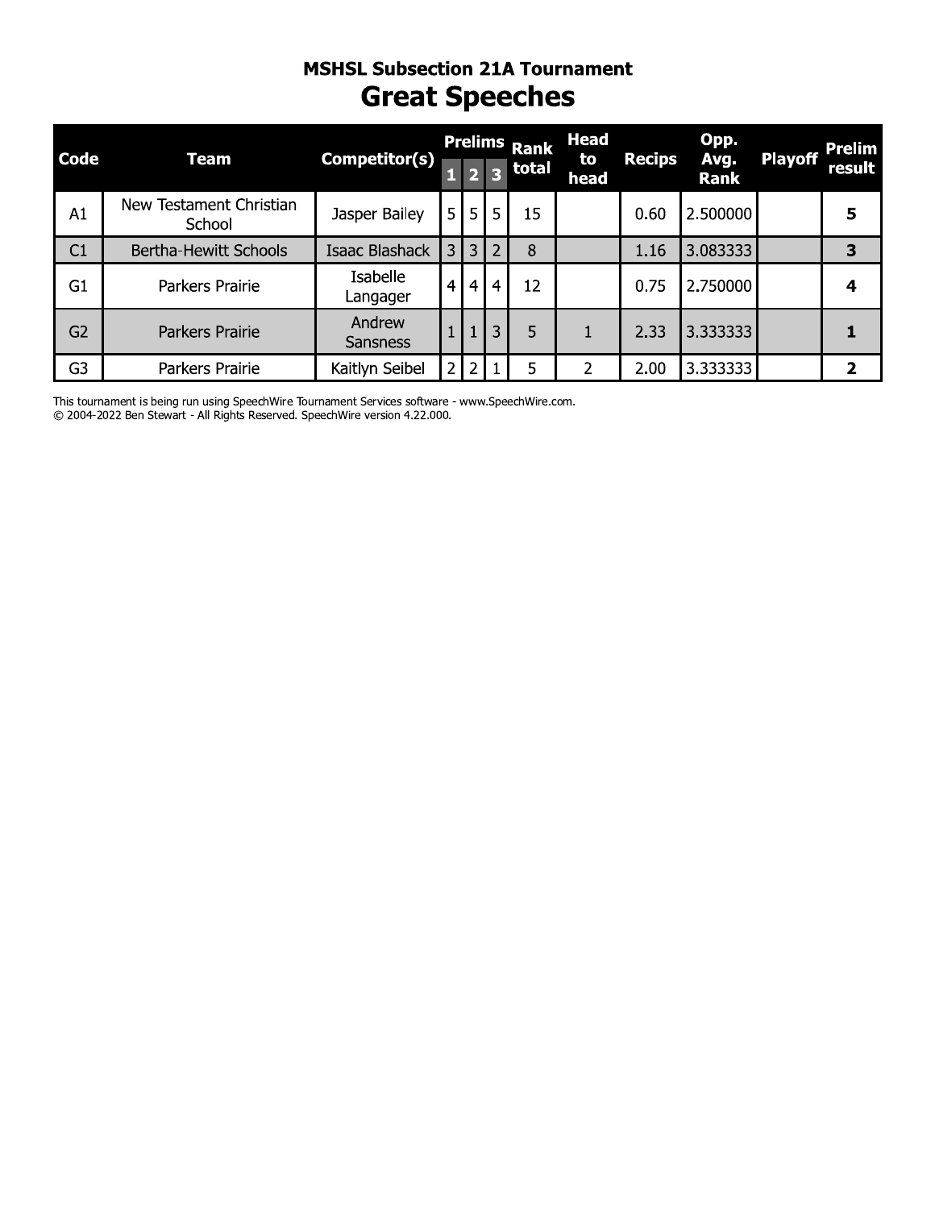# MSHSL SUDSECTION ZIA TOURNAMENT Great Speecnes

|                |                                   | <b>MSHSL Subsection 21A Tournament</b><br><b>Great Speeches</b> |                         |                |                |                     |                   |               |              |                |               |
|----------------|-----------------------------------|-----------------------------------------------------------------|-------------------------|----------------|----------------|---------------------|-------------------|---------------|--------------|----------------|---------------|
| <b>Code</b>    | <b>Team</b>                       | Competitor(s)                                                   |                         |                |                | <b>Prelims Rank</b> | <b>Head</b><br>to | <b>Recips</b> | Opp.<br>Avg. | <b>Playoff</b> | Prelim        |
|                |                                   |                                                                 | $\mathbf{1}$            |                |                | total               | head              |               | <b>Rank</b>  |                | <b>result</b> |
| A1             | New Testament Christian<br>School | Jasper Bailey                                                   | 5 <sub>1</sub>          | 5 <sub>1</sub> | 5              | 15                  |                   | 0.60          | 2.500000     |                | 5             |
| C1             | Bertha-Hewitt Schools             | Isaac Blashack                                                  | $\overline{\mathbf{3}}$ | $\overline{3}$ | $\overline{2}$ | 8                   |                   | 1.16          | 3.083333     |                | 3             |
| G <sub>1</sub> | Parkers Prairie                   | Isabelle<br>Langager                                            | $\overline{4}$          | $\overline{4}$ | $\overline{4}$ | 12                  |                   | 0.75          | 2.750000     |                | 4             |
| G <sub>2</sub> | Parkers Prairie                   | Andrew<br><b>Sansness</b>                                       |                         | $\overline{1}$ | 3              | 5                   | 1                 | 2.33          | 3.333333     |                | 1             |
| G <sub>3</sub> | Parkers Prairie                   | Kaitlyn Seibel                                                  | $\overline{2}$          | $\overline{2}$ |                | 5                   | $\overline{2}$    | 2.00          | 3.333333     |                | 2             |

C 2004-2022 Ben Stewart - All Rights Reserved. Speechwire version 4.22.000.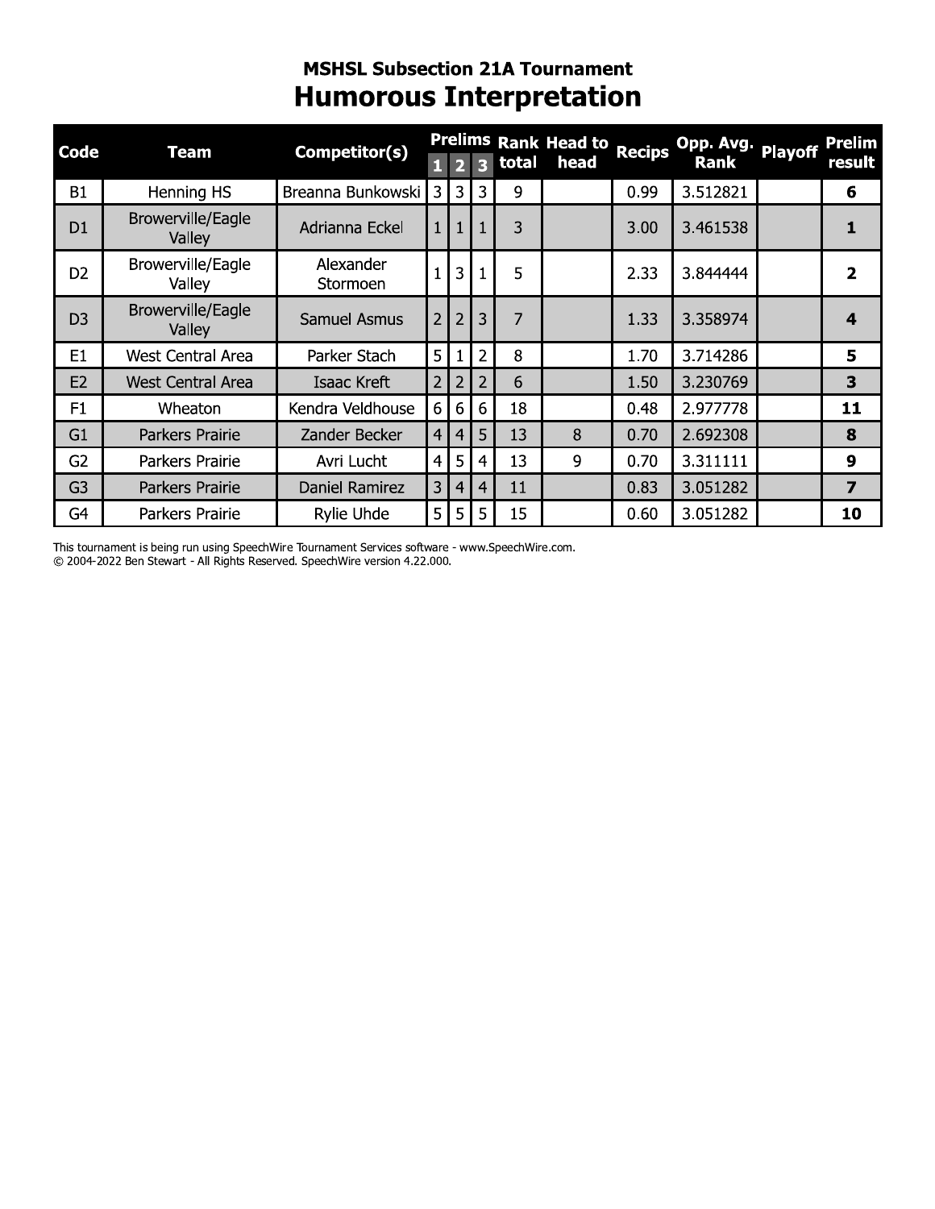### **MSHSL Subsection 21A Tournament Humorous Interpretation**

| <b>Code</b>    | Team                               | Competitor(s)         |                |                |                |       | Prelims Rank Head to | <b>Recips</b> | Opp. Avg.   | <b>Playoff</b> | <b>Prelim</b>           |
|----------------|------------------------------------|-----------------------|----------------|----------------|----------------|-------|----------------------|---------------|-------------|----------------|-------------------------|
|                |                                    |                       |                |                |                | total | head                 |               | <b>Rank</b> |                | result                  |
| <b>B1</b>      | Henning HS                         | Breanna Bunkowski     | 3              | 3              | 3              | 9     |                      | 0.99          | 3.512821    |                | 6                       |
| D <sub>1</sub> | <b>Browerville/Eagle</b><br>Valley | Adrianna Eckel        |                | $\mathbf{1}$   | 1              | 3     |                      | 3.00          | 3.461538    |                | 1                       |
| D <sub>2</sub> | Browerville/Eagle<br>Valley        | Alexander<br>Stormoen |                | 3              | 1              | 5     |                      | 2.33          | 3.844444    |                | $\overline{2}$          |
| D <sub>3</sub> | Browerville/Eagle<br>Valley        | <b>Samuel Asmus</b>   | $\overline{2}$ | $\overline{2}$ | 3              | 7     |                      | 1.33          | 3.358974    |                | $\overline{\mathbf{A}}$ |
| E1             | <b>West Central Area</b>           | Parker Stach          | 5              |                | $\overline{2}$ | 8     |                      | 1.70          | 3.714286    |                | 5                       |
| E <sub>2</sub> | <b>West Central Area</b>           | Isaac Kreft           | $\overline{2}$ | $\overline{2}$ | 2              | 6     |                      | 1.50          | 3.230769    |                | 3                       |
| F <sub>1</sub> | Wheaton                            | Kendra Veldhouse      | 6              | 6              | 6              | 18    |                      | 0.48          | 2.977778    |                | 11                      |
| G <sub>1</sub> | Parkers Prairie                    | Zander Becker         | $\overline{4}$ | $\overline{4}$ | 5              | 13    | 8                    | 0.70          | 2.692308    |                | 8                       |
| G <sub>2</sub> | Parkers Prairie                    | Avri Lucht            | $\overline{4}$ | 5              | 4              | 13    | 9                    | 0.70          | 3.311111    |                | 9                       |
| G <sub>3</sub> | Parkers Prairie                    | Daniel Ramirez        | 3              | 4              | 4              | 11    |                      | 0.83          | 3.051282    |                | 7                       |
| G4             | Parkers Prairie                    | <b>Rylie Uhde</b>     | 5              | 5              | 5              | 15    |                      | 0.60          | 3.051282    |                | 10                      |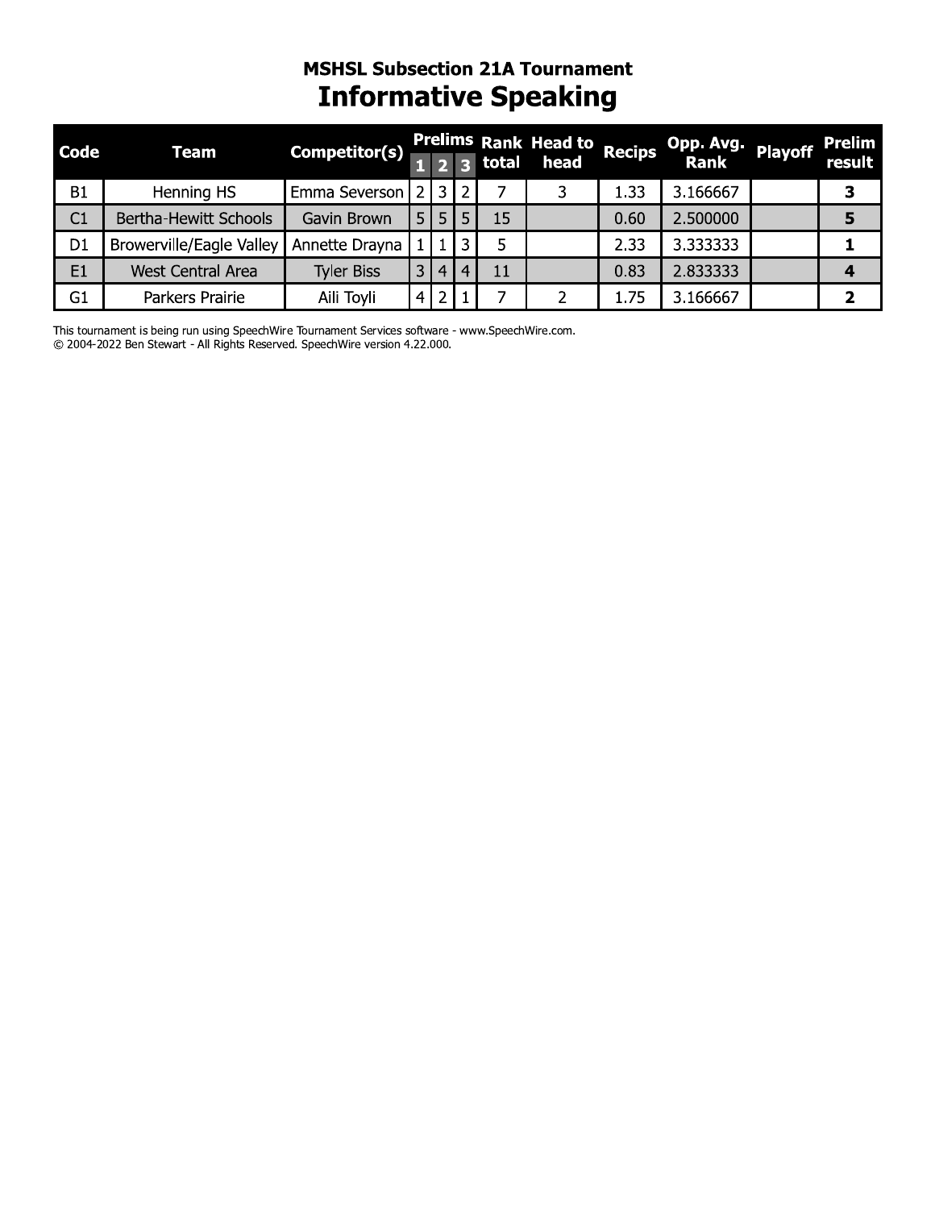### **MSHSL Subsection 21A Tournament Informative Speaking**

| <b>Code</b>    | <b>Team</b>                  | Competitor(s)     |                |    |    | $2 \overline{3}$ total | Prelims Rank Head to Recips<br>head |      | Opp. Avg. Playoff Prelim<br>Rank Playoff result |   |
|----------------|------------------------------|-------------------|----------------|----|----|------------------------|-------------------------------------|------|-------------------------------------------------|---|
| <b>B1</b>      | Henning HS                   | Emma Severson     | 2 I            | 3. | 2. |                        |                                     | 1.33 | 3.166667                                        | З |
| C1             | <b>Bertha-Hewitt Schools</b> | Gavin Brown       |                | 5  |    | 15                     |                                     | 0.60 | 2.500000                                        | 5 |
| D <sub>1</sub> | Browerville/Eagle Valley     | Annette Drayna    |                |    | ิว | 5                      |                                     | 2.33 | 3.333333                                        |   |
| E <sub>1</sub> | <b>West Central Area</b>     | <b>Tyler Biss</b> | 3              | 4  | 4  | 11                     |                                     | 0.83 | 2.833333                                        |   |
| G <sub>1</sub> | Parkers Prairie              | Aili Toyli        | 4 <sup>1</sup> | 2  |    |                        |                                     | 1.75 | 3.166667                                        |   |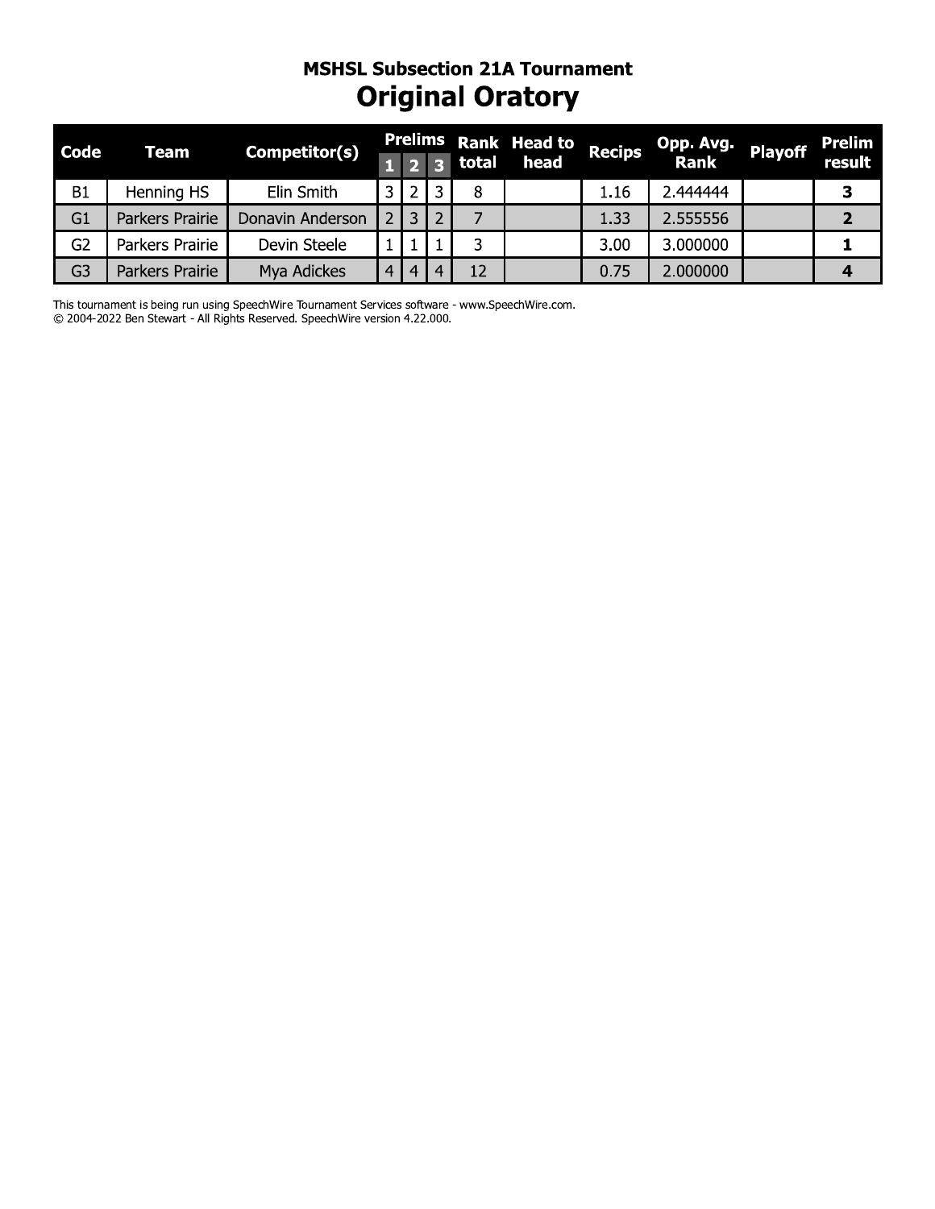### **MSHSL Subsection 21A Tournament Original Oratory**

| <b>Code</b>    | Team            | Competitor(s)    |                |     |       | <b>Prelims Rank Head to</b> | Recips | Opp. Avg.<br>Rank | <b>Playoff</b> | <b>Prelim</b> |
|----------------|-----------------|------------------|----------------|-----|-------|-----------------------------|--------|-------------------|----------------|---------------|
|                |                 |                  |                | 1 2 | total | head                        |        |                   |                | result        |
| <b>B1</b>      | Henning HS      | Elin Smith       | 3              |     | 8     |                             | 1.16   | 2.444444          |                | З             |
| G1             | Parkers Prairie | Donavin Anderson |                | 3   |       |                             | 1.33   | 2.555556          |                |               |
| G <sub>2</sub> | Parkers Prairie | Devin Steele     |                |     | 3     |                             | 3.00   | 3.000000          |                |               |
| G <sub>3</sub> | Parkers Prairie | Mya Adickes      | $\overline{4}$ | 4   | 12    |                             | 0.75   | 2.000000          |                | 4             |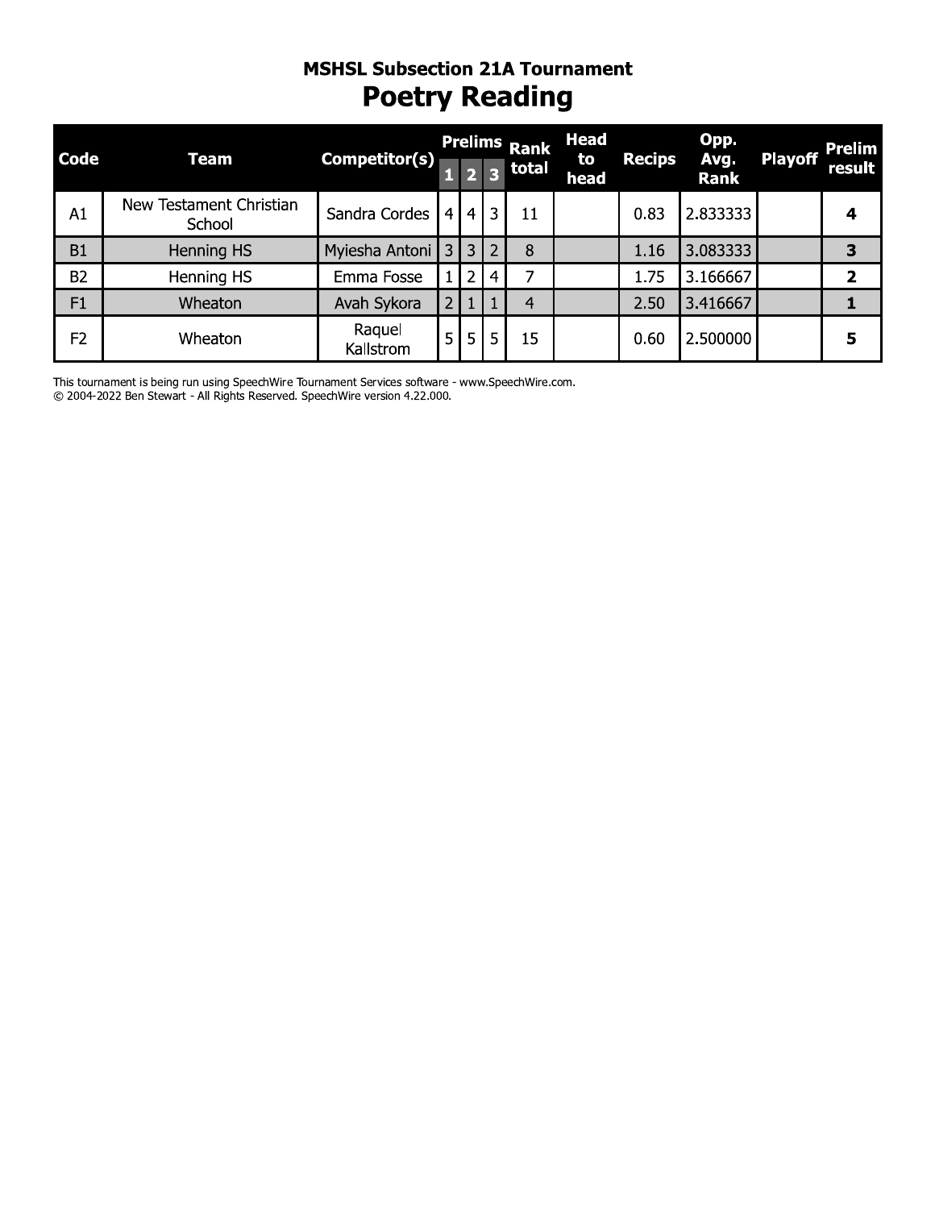### MSHSL SUDSECTION ZIA TOUrnament **Poetry Reading**

|                |                                   | <b>Poetry Reading</b> |                |                |                | <b>Prelims Rank</b> | <b>Head</b> |               | Opp.                |                | <b>Prelim</b> |
|----------------|-----------------------------------|-----------------------|----------------|----------------|----------------|---------------------|-------------|---------------|---------------------|----------------|---------------|
| <b>Code</b>    | <b>Team</b>                       | <b>Competitor(s)</b>  | $\mathbf{1}$   | $\overline{2}$ |                | 3 total             | to<br>head  | <b>Recips</b> | Avg.<br><b>Rank</b> | <b>Playoff</b> | result        |
| A1             | New Testament Christian<br>School | Sandra Cordes         | $\overline{4}$ |                | 4 3            | 11                  |             | 0.83          | 2.833333            |                | 4             |
| B1             | Henning HS                        | Myiesha Antoni        | $\overline{3}$ | 3 <sup>1</sup> | $\overline{2}$ | 8                   |             | 1.16          | 3.083333            |                | 3             |
| <b>B2</b>      | Henning HS                        | Emma Fosse            | 1              | 2 <sup>1</sup> | 4              | 7                   |             | 1.75          | 3.166667            |                | 2             |
| F1             | Wheaton                           | Avah Sykora           | $\overline{2}$ | $\mathbf{1}$   | $\mathbf{1}$   | $\overline{4}$      |             | 2.50          | 3.416667            |                | 1             |
| F <sub>2</sub> | Wheaton                           | Raquel<br>Kallstrom   | 5              | 5 <sub>1</sub> | 5              | 15                  |             | 0.60          | 2.500000            |                | 5             |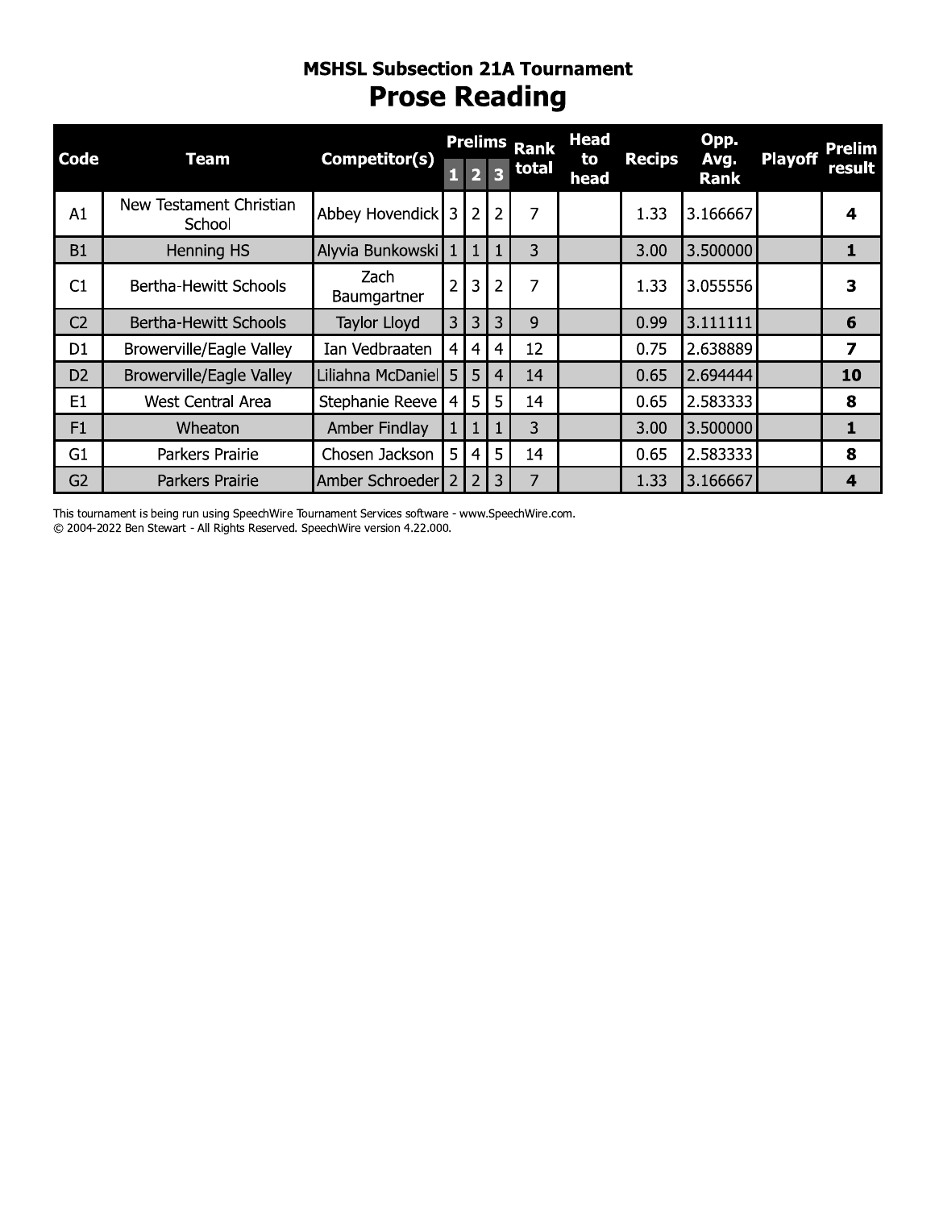### **MSHSL SUDSECTION ZIA TOURNAMENT Prose Reading**

| <b>Code</b>    | <b>Team</b>                       | Competitor(s)       | Prelims Rank   |                         |                         | <b>Head</b><br>to | <b>Recips</b> | Opp.<br>Avg. | <b>Playoff</b> | <b>Prelim</b> |                         |
|----------------|-----------------------------------|---------------------|----------------|-------------------------|-------------------------|-------------------|---------------|--------------|----------------|---------------|-------------------------|
|                |                                   |                     | $\mathbf{1}$   | $\overline{\mathbf{2}}$ | $\overline{\mathbf{3}}$ | total             | head          |              | Rank           |               | result                  |
| A1             | New Testament Christian<br>School | Abbey Hovendick     | 3              | $\overline{2}$          | $\overline{2}$          | 7                 |               | 1.33         | 3.166667       |               | 4                       |
| <b>B1</b>      | Henning HS                        | Alyvia Bunkowski    | 1              | $\mathbf{1}$            | $\mathbf{1}$            | 3                 |               | 3.00         | 3.500000       |               | 1                       |
| C1             | Bertha-Hewitt Schools             | Zach<br>Baumgartner | $\overline{2}$ | 3                       | $\overline{2}$          | $\overline{7}$    |               | 1.33         | 3.055556       |               | 3                       |
| C <sub>2</sub> | Bertha-Hewitt Schools             | Taylor Lloyd        | 3              | 3                       | 3                       | 9                 |               | 0.99         | 3.111111       |               | 6                       |
| D <sub>1</sub> | Browerville/Eagle Valley          | Ian Vedbraaten      | 4              | $\overline{4}$          | 4                       | 12                |               | 0.75         | 2.638889       |               | $\overline{\mathbf{z}}$ |
| D <sub>2</sub> | <b>Browerville/Eagle Valley</b>   | Liliahna McDaniel 5 |                | 5                       | $\overline{4}$          | 14                |               | 0.65         | 2.694444       |               | 10                      |
| E <sub>1</sub> | <b>West Central Area</b>          | Stephanie Reeve     | $\overline{4}$ | 5                       | 5                       | 14                |               | 0.65         | 2.583333       |               | 8                       |
| F1             | Wheaton                           | Amber Findlay       |                | $\mathbf{1}$            | 1                       | 3                 |               | 3.00         | 3.500000       |               | $\mathbf{1}$            |
| G1             | Parkers Prairie                   | Chosen Jackson      | 5              | $\overline{4}$          | 5                       | 14                |               | 0.65         | 2.583333       |               | 8                       |
| G <sub>2</sub> | Parkers Prairie                   | Amber Schroeder     | $\overline{2}$ | $\overline{2}$          | 3                       | $\overline{7}$    |               | 1.33         | 3.166667       |               | $\overline{\mathbf{4}}$ |